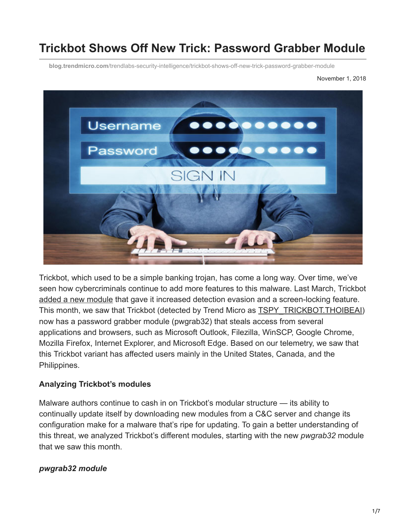# **Trickbot Shows Off New Trick: Password Grabber Module**

**blog.trendmicro.com**[/trendlabs-security-intelligence/trickbot-shows-off-new-trick-password-grabber-module](https://blog.trendmicro.com/trendlabs-security-intelligence/trickbot-shows-off-new-trick-password-grabber-module)



Trickbot, which used to be a simple banking trojan, has come a long way. Over time, we've seen how cybercriminals continue to add more features to this malware. Last March, Trickbot [added a new module](https://www.trendmicro.com/vinfo/tmr/?/us/security/news/cybercrime-and-digital-threats/evolving-trickbot-adds-detection-evasion-and-screen-locking-features) that gave it increased detection evasion and a screen-locking feature. This month, we saw that Trickbot (detected by Trend Micro as [TSPY\\_TRICKBOT.THOIBEAI](https://www.trendmicro.com/vinfo/tmr/?/us/threat-encyclopedia/malware/TSPY_TRICKBOT.THOIBEAI)) now has a password grabber module (pwgrab32) that steals access from several applications and browsers, such as Microsoft Outlook, Filezilla, WinSCP, Google Chrome, Mozilla Firefox, Internet Explorer, and Microsoft Edge. Based on our telemetry, we saw that this Trickbot variant has affected users mainly in the United States, Canada, and the Philippines.

## **Analyzing Trickbot's modules**

Malware authors continue to cash in on Trickbot's modular structure — its ability to continually update itself by downloading new modules from a C&C server and change its configuration make for a malware that's ripe for updating. To gain a better understanding of this threat, we analyzed Trickbot's different modules, starting with the new *pwgrab32* module that we saw this month.

## *pwgrab32 module*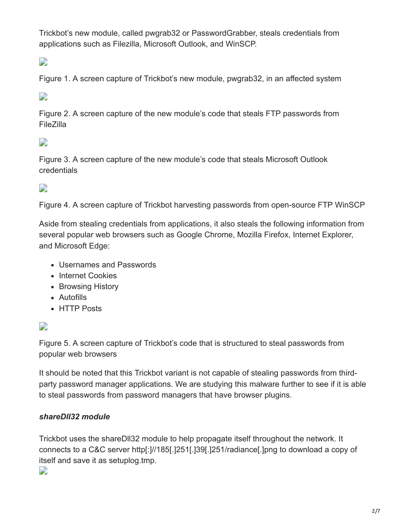Trickbot's new module, called pwgrab32 or PasswordGrabber, steals credentials from applications such as Filezilla, Microsoft Outlook, and WinSCP.

 $\overline{\phantom{a}}$ 

Figure 1. A screen capture of Trickbot's new module, pwgrab32, in an affected system

## D

Figure 2. A screen capture of the new module's code that steals FTP passwords from FileZilla

# $\overline{\phantom{a}}$

Figure 3. A screen capture of the new module's code that steals Microsoft Outlook credentials

 $\overline{\phantom{a}}$ 

Figure 4. A screen capture of Trickbot harvesting passwords from open-source FTP WinSCP

Aside from stealing credentials from applications, it also steals the following information from several popular web browsers such as Google Chrome, Mozilla Firefox, Internet Explorer, and Microsoft Edge:

- Usernames and Passwords
- Internet Cookies
- Browsing History
- Autofills
- HTTP Posts

## D

Figure 5. A screen capture of Trickbot's code that is structured to steal passwords from popular web browsers

It should be noted that this Trickbot variant is not capable of stealing passwords from thirdparty password manager applications. We are studying this malware further to see if it is able to steal passwords from password managers that have browser plugins.

## *shareDll32 module*

Trickbot uses the shareDll32 module to help propagate itself throughout the network. It connects to a C&C server http[:]//185[.]251[.]39[.]251/radiance[.]png to download a copy of itself and save it as setuplog.tmp.

D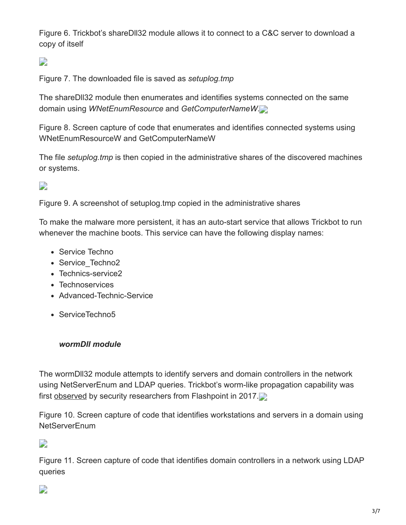Figure 6. Trickbot's shareDll32 module allows it to connect to a C&C server to download a copy of itself

 $\overline{\phantom{a}}$ 

Figure 7. The downloaded file is saved as *setuplog.tmp*

The shareDll32 module then enumerates and identifies systems connected on the same domain using *WNetEnumResource* and *GetComputerNameW*.

Figure 8. Screen capture of code that enumerates and identifies connected systems using WNetEnumResourceW and GetComputerNameW

The file *setuplog.tmp* is then copied in the administrative shares of the discovered machines or systems.

 $\overline{\phantom{a}}$ 

Figure 9. A screenshot of setuplog.tmp copied in the administrative shares

To make the malware more persistent, it has an auto-start service that allows Trickbot to run whenever the machine boots. This service can have the following display names:

- Service Techno
- Service Techno2
- Technics-service2
- Technoservices
- Advanced-Technic-Service
- ServiceTechno5

#### *wormDll module*

The wormDll32 module attempts to identify servers and domain controllers in the network using NetServerEnum and LDAP queries. Trickbot's worm-like propagation capability was first [observed](https://www.flashpoint-intel.com/blog/new-version-trickbot-adds-worm-propagation-module/) by security researchers from Flashpoint in 2017.

Figure 10. Screen capture of code that identifies workstations and servers in a domain using NetServerEnum

D

Figure 11. Screen capture of code that identifies domain controllers in a network using LDAP queries

## $\Box$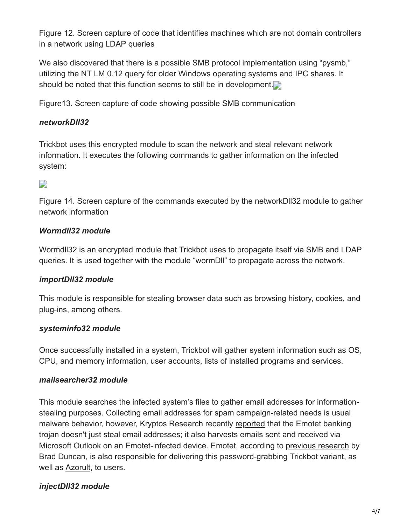Figure 12. Screen capture of code that identifies machines which are not domain controllers in a network using LDAP queries

We also discovered that there is a possible SMB protocol implementation using "pysmb," utilizing the NT LM 0.12 query for older Windows operating systems and IPC shares. It should be noted that this function seems to still be in development.

Figure13. Screen capture of code showing possible SMB communication

### *networkDll32*

Trickbot uses this encrypted module to scan the network and steal relevant network information. It executes the following commands to gather information on the infected system:

## $\overline{\phantom{a}}$

Figure 14. Screen capture of the commands executed by the networkDll32 module to gather network information

## *Wormdll32 module*

Wormdll32 is an encrypted module that Trickbot uses to propagate itself via SMB and LDAP queries. It is used together with the module "wormDll" to propagate across the network.

#### *importDll32 module*

This module is responsible for stealing browser data such as browsing history, cookies, and plug-ins, among others.

#### *systeminfo32 module*

Once successfully installed in a system, Trickbot will gather system information such as OS, CPU, and memory information, user accounts, lists of installed programs and services.

#### *mailsearcher32 module*

This module searches the infected system's files to gather email addresses for informationstealing purposes. Collecting email addresses for spam campaign-related needs is usual malware behavior, however, Kryptos Research recently [reported](https://blog.kryptoslogic.com/malware/2018/10/31/emotet-email-theft.html) that the Emotet banking trojan doesn't just steal email addresses; it also harvests emails sent and received via Microsoft Outlook on an Emotet-infected device. Emotet, according to [previous research](https://isc.sans.edu/diary/One+Emotet+infection+leads+to+three+follow-up+malware+infections/24140) by Brad Duncan, is also responsible for delivering this password-grabbing Trickbot variant, as well as [Azorult](https://www.trendmicro.com/vinfo/tmr/?/us/threat-encyclopedia/spam/3661/spam-campaign-leads-to-azorult-trojan-spyware), to users.

## *injectDll32 module*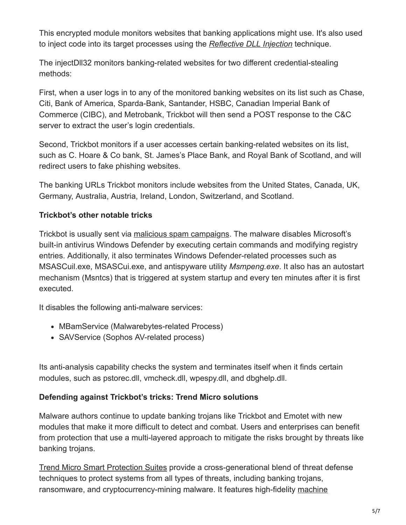This encrypted module monitors websites that banking applications might use. It's also used to inject code into its target processes using the *[Reflective DLL Injection](https://github.com/stephenfewer/ReflectiveDLLInjection)* technique.

The injectDll32 monitors banking-related websites for two different credential-stealing methods:

First, when a user logs in to any of the monitored banking websites on its list such as Chase, Citi, Bank of America, Sparda-Bank, Santander, HSBC, Canadian Imperial Bank of Commerce (CIBC), and Metrobank, Trickbot will then send a POST response to the C&C server to extract the user's login credentials.

Second, Trickbot monitors if a user accesses certain banking-related websites on its list, such as C. Hoare & Co bank, St. James's Place Bank, and Royal Bank of Scotland, and will redirect users to fake phishing websites.

The banking URLs Trickbot monitors include websites from the United States, Canada, UK, Germany, Australia, Austria, Ireland, London, Switzerland, and Scotland.

## **Trickbot's other notable tricks**

Trickbot is usually sent via [malicious spam campaigns.](https://blog.trendmicro.com/trendlabs-security-intelligence/look-locky-ransomwares-recent-spam-activities/?_ga=2.67425105.153681460.1540774662-609786015.1505725418) The malware disables Microsoft's built-in antivirus Windows Defender by executing certain commands and modifying registry entries. Additionally, it also terminates Windows Defender-related processes such as MSASCuil.exe, MSASCui.exe, and antispyware utility *Msmpeng.exe*. It also has an autostart mechanism (Msntcs) that is triggered at system startup and every ten minutes after it is first executed.

It disables the following anti-malware services:

- MBamService (Malwarebytes-related Process)
- SAVService (Sophos AV-related process)

Its anti-analysis capability checks the system and terminates itself when it finds certain modules, such as pstorec.dll, vmcheck.dll, wpespy.dll, and dbghelp.dll.

## **Defending against Trickbot's tricks: Trend Micro solutions**

Malware authors continue to update banking trojans like Trickbot and Emotet with new modules that make it more difficult to detect and combat. Users and enterprises can benefit from protection that use a multi-layered approach to mitigate the risks brought by threats like banking trojans.

[Trend Micro Smart Protection Suites](https://blog.trendmicro.com/en_us/business/products/user-protection/sps.html) provide a cross-generational blend of threat defense techniques to protect systems from all types of threats, including banking trojans, [ransomware, and cryptocurrency-mining malware. It features high-fidelity machine](https://www.trendmicro.com/vinfo/tmr/?/us/security/definition/machine-learning)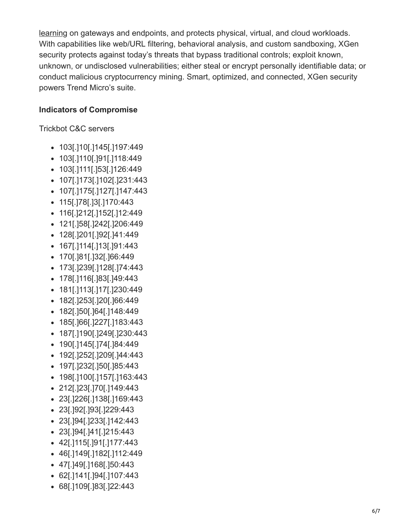[learning on gateways and endpoints, and protects physical, virtual, and cloud work](https://www.trendmicro.com/vinfo/tmr/?/us/security/definition/machine-learning)loads. With capabilities like web/URL filtering, behavioral analysis, and custom sandboxing, XGen security protects against today's threats that bypass traditional controls; exploit known, unknown, or undisclosed vulnerabilities; either steal or encrypt personally identifiable data; or conduct malicious cryptocurrency mining. Smart, optimized, and connected, XGen security powers Trend Micro's suite.

#### **Indicators of Compromise**

Trickbot C&C servers

- 103[.]10[.]145[.]197:449
- 103[.]110[.]91[.]118:449
- 103[.]111[.]53[.]126:449
- 107[.]173[.]102[.]231:443
- 107[.]175[.]127[.]147:443
- 115[.]78[.]3[.]170:443
- 116[.]212[.]152[.]12:449
- 121[.]58[.]242[.]206:449
- 128[.]201[.]92[.]41:449
- 167[.]114[.]13[.]91:443
- 170[.]81[.]32[.]66:449
- 173[.]239[.]128[.]74:443
- 178[.]116[.]83[.]49:443
- 181[.]113[.]17[.]230:449
- 182[.]253[.]20[.]66:449
- 182[.]50[.]64[.]148:449
- 185[.]66[.]227[.]183:443
- 187[.]190[.]249[.]230:443
- 190[.]145[.]74[.]84:449
- 192[.]252[.]209[.]44:443
- 197[.]232[.]50[.]85:443
- 198[.]100[.]157[.]163:443
- 212[.]23[.]70[.]149:443
- 
- 23[.]226[.]138[.]169:443
- 
- 
- 23[.]92[.]93[.]229:443
- 
- 
- 
- 
- 
- 
- 
- 23[.]94[.]233[.]142:443
- 
- 
- 23[.]94[.]41[.]215:443
- 
- 
- 
- 
- 
- 
- 
- 
- 42[.]115[.]91[.]177:443
- 
- 
- 
- 

62[.]141[.]94[.]107:443 68[.]109[.]83[.]22:443

- 46[.]149[.]182[.]112:449
- 
- 47[.]49[.]168[.]50:443